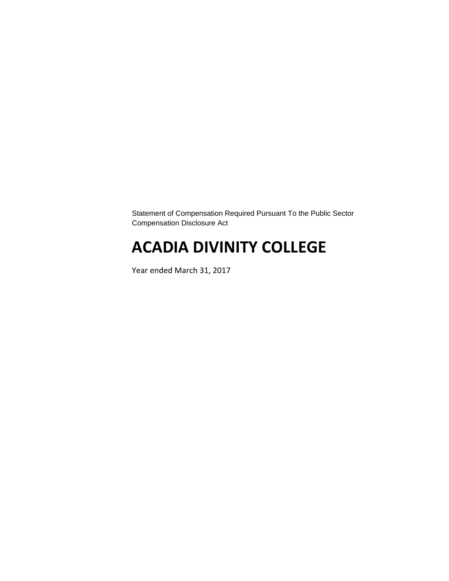Statement of Compensation Required Pursuant To the Public Sector Compensation Disclosure Act

# **ACADIA DIVINITY COLLEGE**

Year ended March 31, 2017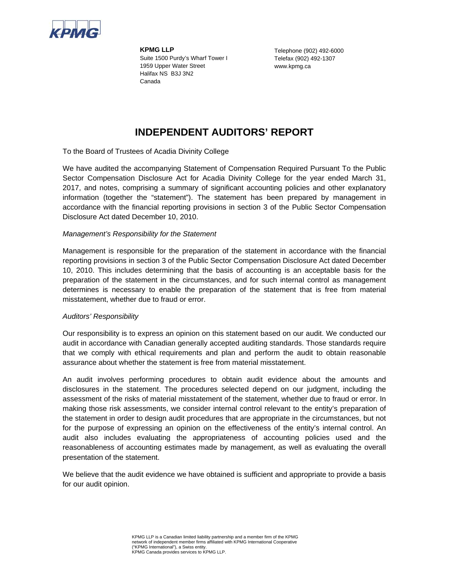

**KPMG LLP**  Suite 1500 Purdy's Wharf Tower I 1959 Upper Water Street Halifax NS B3J 3N2 Canada

Telephone (902) 492-6000 Telefax (902) 492-1307 www.kpmg.ca

### **INDEPENDENT AUDITORS' REPORT**

To the Board of Trustees of Acadia Divinity College

We have audited the accompanying Statement of Compensation Required Pursuant To the Public Sector Compensation Disclosure Act for Acadia Divinity College for the year ended March 31, 2017, and notes, comprising a summary of significant accounting policies and other explanatory information (together the "statement"). The statement has been prepared by management in accordance with the financial reporting provisions in section 3 of the Public Sector Compensation Disclosure Act dated December 10, 2010.

### *Management's Responsibility for the Statement*

Management is responsible for the preparation of the statement in accordance with the financial reporting provisions in section 3 of the Public Sector Compensation Disclosure Act dated December 10, 2010. This includes determining that the basis of accounting is an acceptable basis for the preparation of the statement in the circumstances, and for such internal control as management determines is necessary to enable the preparation of the statement that is free from material misstatement, whether due to fraud or error.

### *Auditors' Responsibility*

Our responsibility is to express an opinion on this statement based on our audit. We conducted our audit in accordance with Canadian generally accepted auditing standards. Those standards require that we comply with ethical requirements and plan and perform the audit to obtain reasonable assurance about whether the statement is free from material misstatement.

An audit involves performing procedures to obtain audit evidence about the amounts and disclosures in the statement. The procedures selected depend on our judgment, including the assessment of the risks of material misstatement of the statement, whether due to fraud or error. In making those risk assessments, we consider internal control relevant to the entity's preparation of the statement in order to design audit procedures that are appropriate in the circumstances, but not for the purpose of expressing an opinion on the effectiveness of the entity's internal control. An audit also includes evaluating the appropriateness of accounting policies used and the reasonableness of accounting estimates made by management, as well as evaluating the overall presentation of the statement.

We believe that the audit evidence we have obtained is sufficient and appropriate to provide a basis for our audit opinion.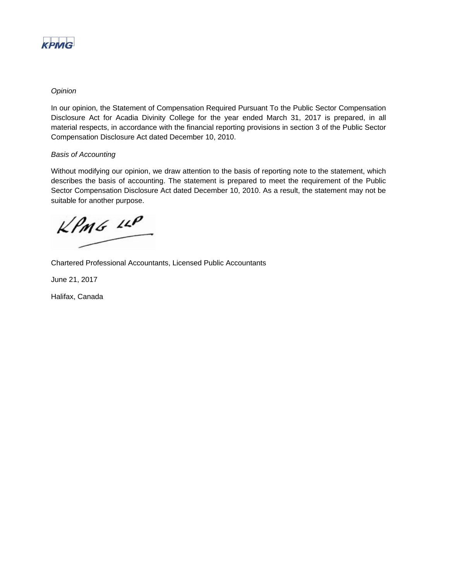

### *Opinion*

In our opinion, the Statement of Compensation Required Pursuant To the Public Sector Compensation Disclosure Act for Acadia Divinity College for the year ended March 31, 2017 is prepared, in all material respects, in accordance with the financial reporting provisions in section 3 of the Public Sector Compensation Disclosure Act dated December 10, 2010.

### *Basis of Accounting*

Without modifying our opinion, we draw attention to the basis of reporting note to the statement, which describes the basis of accounting. The statement is prepared to meet the requirement of the Public Sector Compensation Disclosure Act dated December 10, 2010. As a result, the statement may not be suitable for another purpose.

 $KPMG$  11P

Chartered Professional Accountants, Licensed Public Accountants

June 21, 2017

Halifax, Canada